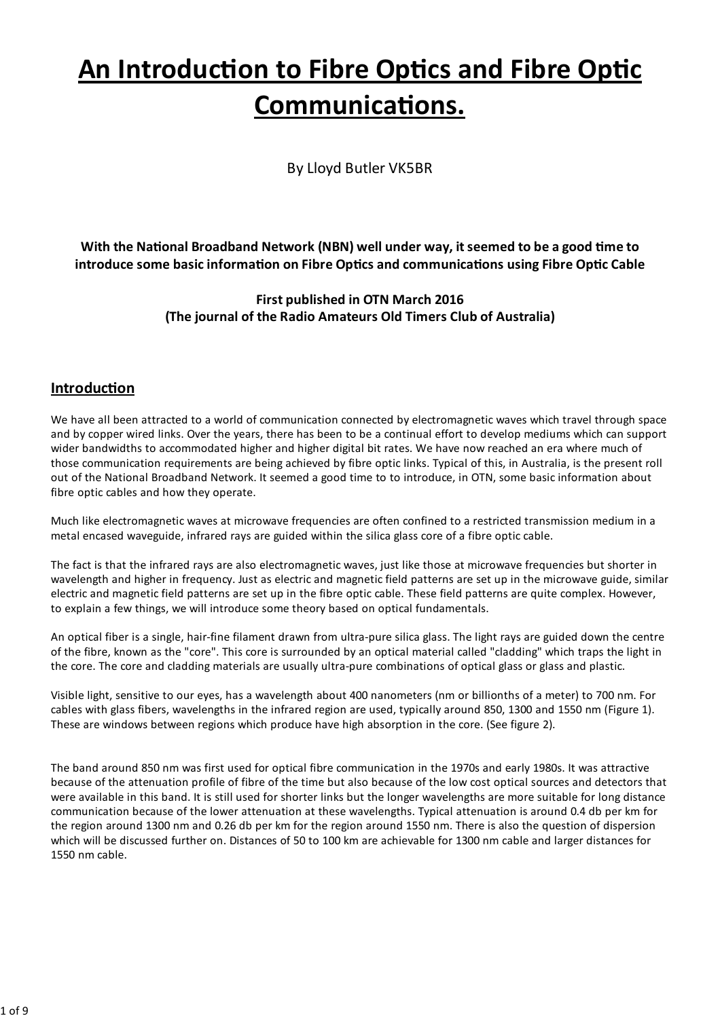# An Introduction to Fibre Optics and Fibre Optic **Communications.**

By Lloyd Butler VK5BR

With the National Broadband Network (NBN) well under way, it seemed to be a good time to introduce some basic information on Fibre Optics and communications using Fibre Optic Cable

> First published in OTN March 2016 (The journal of the Radio Amateurs Old Timers Club of Australia)

# Introduction

We have all been attracted to a world of communication connected by electromagnetic waves which travel through space and by copper wired links. Over the years, there has been to be a continual effort to develop mediums which can support wider bandwidths to accommodated higher and higher digital bit rates. We have now reached an era where much of those communication requirements are being achieved by fibre optic links. Typical of this, in Australia, is the present roll out of the National Broadband Network. It seemed a good time to to introduce, in OTN, some basic information about fibre optic cables and how they operate.

Much like electromagnetic waves at microwave frequencies are often confined to a restricted transmission medium in a metal encased waveguide, infrared rays are guided within the silica glass core of a fibre optic cable.

The fact is that the infrared rays are also electromagnetic waves, just like those at microwave frequencies but shorter in wavelength and higher in frequency. Just as electric and magnetic field patterns are set up in the microwave guide, similar electric and magnetic field patterns are set up in the fibre optic cable. These field patterns are quite complex. However, to explain a few things, we will introduce some theory based on optical fundamentals.

An optical fiber is a single, hair-fine filament drawn from ultra-pure silica glass. The light rays are guided down the centre of the fibre, known as the "core". This core is surrounded by an optical material called "cladding" which traps the light in the core. The core and cladding materials are usually ultra-pure combinations of optical glass or glass and plastic.

Visible light, sensitive to our eyes, has a wavelength about 400 nanometers (nm or billionths of a meter) to 700 nm. For cables with glass fibers, wavelengths in the infrared region are used, typically around 850, 1300 and 1550 nm (Figure 1). These are windows between regions which produce have high absorption in the core. (See figure 2).

The band around 850 nm was first used for optical fibre communication in the 1970s and early 1980s. It was attractive because of the attenuation profile of fibre of the time but also because of the low cost optical sources and detectors that were available in this band. It is still used for shorter links but the longer wavelengths are more suitable for long distance communication because of the lower attenuation at these wavelengths. Typical attenuation is around 0.4 db per km for the region around 1300 nm and 0.26 db per km for the region around 1550 nm. There is also the question of dispersion which will be discussed further on. Distances of 50 to 100 km are achievable for 1300 nm cable and larger distances for 1550 nm cable.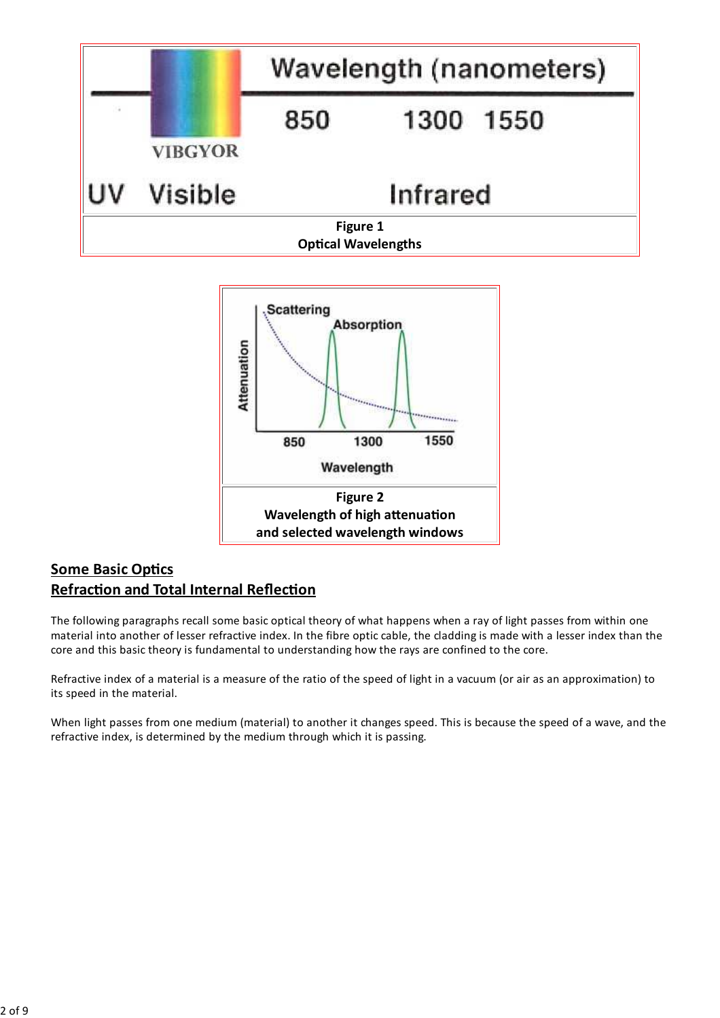



# **Some Basic Optics Refraction and Total Internal Reflection**

The following paragraphs recall some basic optical theory of what happens when a ray of light passes from within one material into another of lesser refractive index. In the fibre optic cable, the cladding is made with a lesser index than the core and this basic theory is fundamental to understanding how the rays are confined to the core.

Refractive index of a material is a measure of the ratio of the speed of light in a vacuum (or air as an approximation) to its speed in the material.

When light passes from one medium (material) to another it changes speed. This is because the speed of a wave, and the refractive index, is determined by the medium through which it is passing.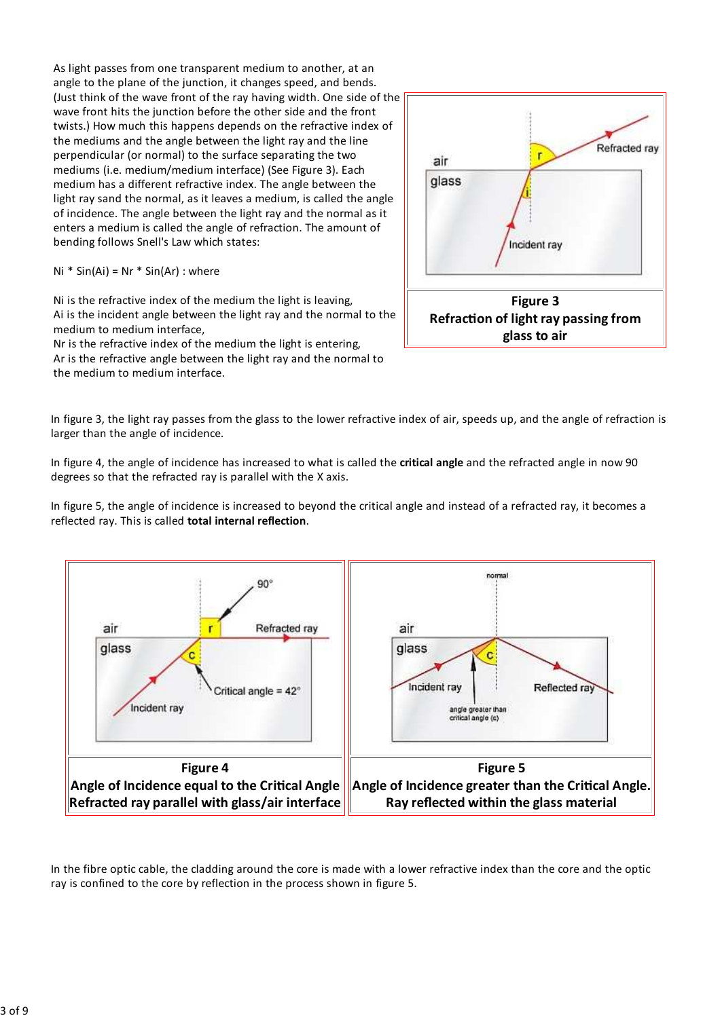As light passes from one transparent medium to another, at an angle to the plane of the junction, it changes speed, and bends. (Just think of the wave front of the ray having width. One side of the wave front hits the junction before the other side and the front twists.) How much this happens depends on the refractive index of the mediums and the angle between the light ray and the line perpendicular (or normal) to the surface separating the two mediums (i.e. medium/medium interface) (See Figure 3). Each medium has a different refractive index. The angle between the light ray sand the normal, as it leaves a medium, is called the angle of incidence. The angle between the light ray and the normal as it enters a medium is called the angle of refraction. The amount of bending follows Snell's Law which states:

Ni \* Sin(Ai) = Nr \* Sin(Ar) : where

Ni is the refractive index of the medium the light is leaving, Ai is the incident angle between the light ray and the normal to the medium to medium interface,

Nr is the refractive index of the medium the light is entering, Ar is the refractive angle between the light ray and the normal to the medium to medium interface.



In figure 3, the light ray passes from the glass to the lower refractive index of air, speeds up, and the angle of refraction is larger than the angle of incidence.

In figure 4, the angle of incidence has increased to what is called the critical angle and the refracted angle in now 90 degrees so that the refracted ray is parallel with the X axis.

In figure 5, the angle of incidence is increased to beyond the critical angle and instead of a refracted ray, it becomes a reflected ray. This is called total internal reflection.



In the fibre optic cable, the cladding around the core is made with a lower refractive index than the core and the optic ray is confined to the core by reflection in the process shown in figure 5.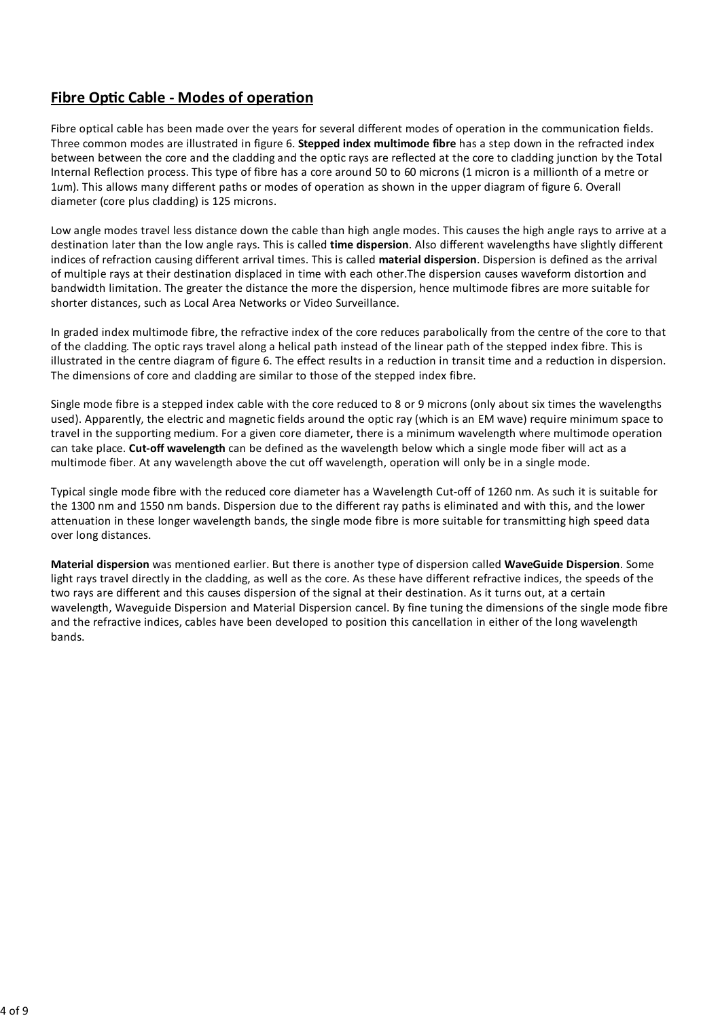# **Fibre Optic Cable - Modes of operation**

Fibre optical cable has been made over the years for several different modes of operation in the communication fields. Three common modes are illustrated in figure 6. Stepped index multimode fibre has a step down in the refracted index between between the core and the cladding and the optic rays are reflected at the core to cladding junction by the Total Internal Reflection process. This type of fibre has a core around 50 to 60 microns (1 micron is a millionth of a metre or 1um). This allows many different paths or modes of operation as shown in the upper diagram of figure 6. Overall diameter (core plus cladding) is 125 microns.

Low angle modes travel less distance down the cable than high angle modes. This causes the high angle rays to arrive at a destination later than the low angle rays. This is called time dispersion. Also different wavelengths have slightly different indices of refraction causing different arrival times. This is called material dispersion. Dispersion is defined as the arrival of multiple rays at their destination displaced in time with each other. The dispersion causes waveform distortion and bandwidth limitation. The greater the distance the more the dispersion, hence multimode fibres are more suitable for shorter distances, such as Local Area Networks or Video Surveillance.

In graded index multimode fibre, the refractive index of the core reduces parabolically from the centre of the core to that of the cladding. The optic rays travel along a helical path instead of the linear path of the stepped index fibre. This is illustrated in the centre diagram of figure 6. The effect results in a reduction in transit time and a reduction in dispersion. The dimensions of core and cladding are similar to those of the stepped index fibre.

Single mode fibre is a stepped index cable with the core reduced to 8 or 9 microns (only about six times the wavelengths used). Apparently, the electric and magnetic fields around the optic ray (which is an EM wave) require minimum space to travel in the supporting medium. For a given core diameter, there is a minimum wavelength where multimode operation can take place. Cut-off wavelength can be defined as the wavelength below which a single mode fiber will act as a multimode fiber. At any wavelength above the cut off wavelength, operation will only be in a single mode.

Typical single mode fibre with the reduced core diameter has a Wavelength Cut-off of 1260 nm. As such it is suitable for the 1300 nm and 1550 nm bands. Dispersion due to the different ray paths is eliminated and with this, and the lower attenuation in these longer wavelength bands, the single mode fibre is more suitable for transmitting high speed data over long distances.

Material dispersion was mentioned earlier. But there is another type of dispersion called WaveGuide Dispersion. Some light rays travel directly in the cladding, as well as the core. As these have different refractive indices, the speeds of the two rays are different and this causes dispersion of the signal at their destination. As it turns out, at a certain wavelength, Waveguide Dispersion and Material Dispersion cancel. By fine tuning the dimensions of the single mode fibre and the refractive indices, cables have been developed to position this cancellation in either of the long wavelength bands.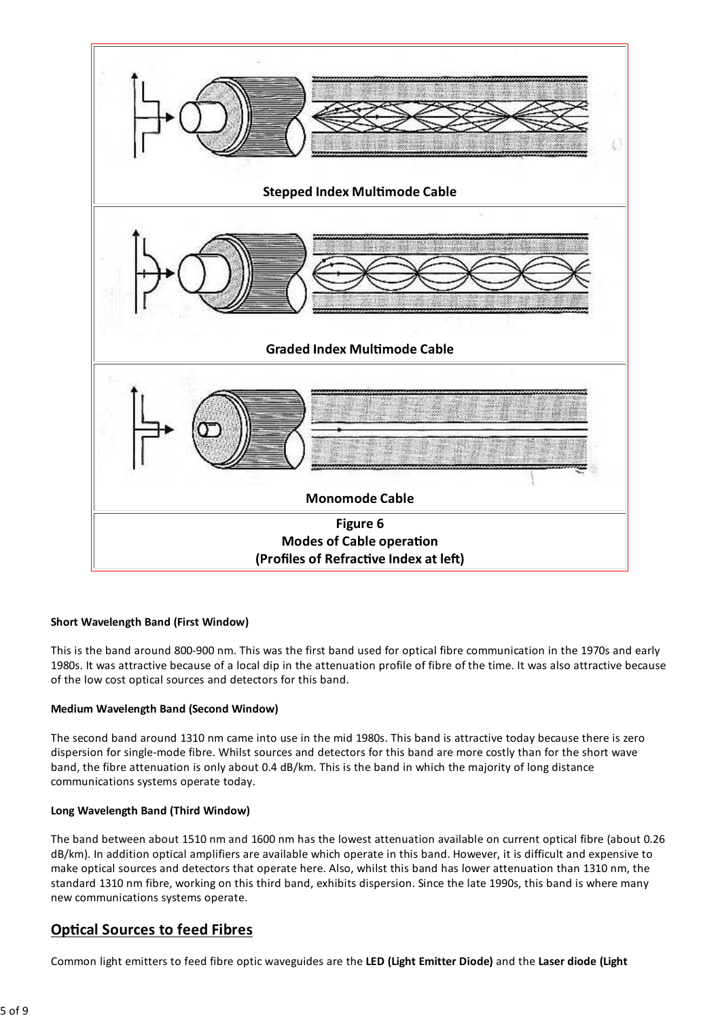

## Short Wavelength Band (First Window)

This is the band around 800-900 nm. This was the first band used for optical fibre communication in the 1970s and early 1980s. It was attractive because of a local dip in the attenuation profile of fibre of the time. It was also attractive because of the low cost optical sources and detectors for this band.

### **Medium Wavelength Band (Second Window)**

The second band around 1310 nm came into use in the mid 1980s. This band is attractive today because there is zero dispersion for single-mode fibre. Whilst sources and detectors for this band are more costly than for the short wave band, the fibre attenuation is only about 0.4 dB/km. This is the band in which the majority of long distance communications systems operate today.

### Long Wavelength Band (Third Window)

The band between about 1510 nm and 1600 nm has the lowest attenuation available on current optical fibre (about 0.26 dB/km). In addition optical amplifiers are available which operate in this band. However, it is difficult and expensive to make optical sources and detectors that operate here. Also, whilst this band has lower attenuation than 1310 nm, the standard 1310 nm fibre, working on this third band, exhibits dispersion. Since the late 1990s, this band is where many new communications systems operate.

## **Optical Sources to feed Fibres**

Common light emitters to feed fibre optic waveguides are the LED (Light Emitter Diode) and the Laser diode (Light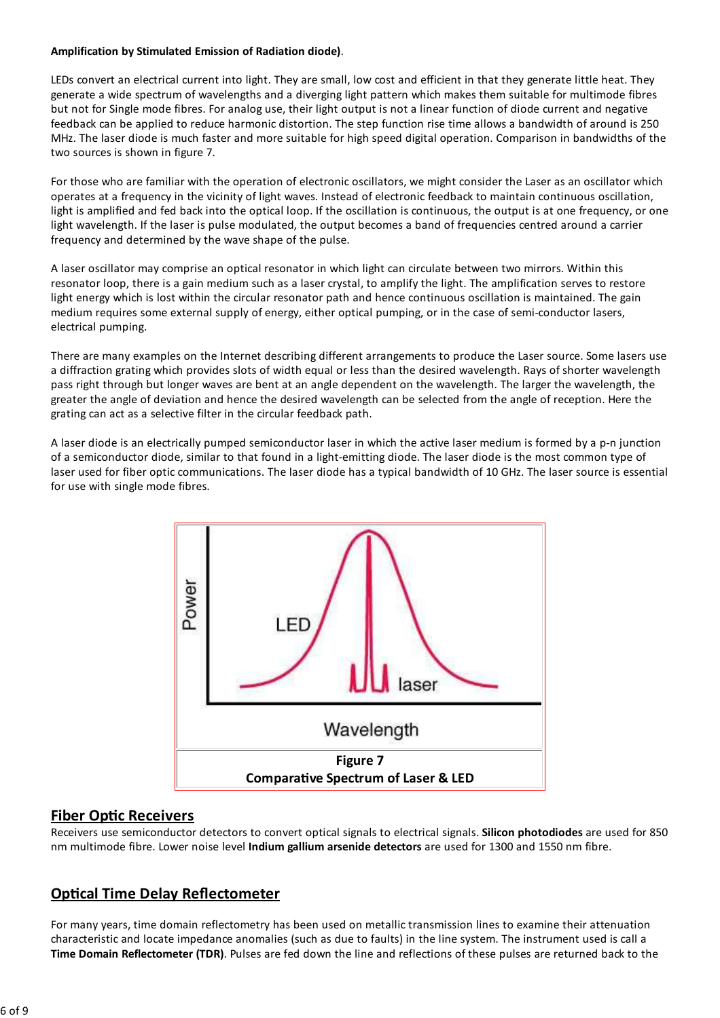## Amplification by Stimulated Emission of Radiation diode).

LEDs convert an electrical current into light. They are small, low cost and efficient in that they generate little heat. They generate a wide spectrum of wavelengths and a diverging light pattern which makes them suitable for multimode fibres but not for Single mode fibres. For analog use, their light output is not a linear function of diode current and negative feedback can be applied to reduce harmonic distortion. The step function rise time allows a bandwidth of around is 250 MHz. The laser diode is much faster and more suitable for high speed digital operation. Comparison in bandwidths of the two sources is shown in figure 7.

For those who are familiar with the operation of electronic oscillators, we might consider the Laser as an oscillator which operates at a frequency in the vicinity of light waves. Instead of electronic feedback to maintain continuous oscillation, light is amplified and fed back into the optical loop. If the oscillation is continuous, the output is at one frequency, or one light wavelength. If the laser is pulse modulated, the output becomes a band of frequencies centred around a carrier frequency and determined by the wave shape of the pulse.

A laser oscillator may comprise an optical resonator in which light can circulate between two mirrors. Within this resonator loop, there is a gain medium such as a laser crystal, to amplify the light. The amplification serves to restore light energy which is lost within the circular resonator path and hence continuous oscillation is maintained. The gain medium requires some external supply of energy, either optical pumping, or in the case of semi-conductor lasers, electrical pumping.

There are many examples on the Internet describing different arrangements to produce the Laser source. Some lasers use a diffraction grating which provides slots of width equal or less than the desired wavelength. Rays of shorter wavelength pass right through but longer waves are bent at an angle dependent on the wavelength. The larger the wavelength, the greater the angle of deviation and hence the desired wavelength can be selected from the angle of reception. Here the grating can act as a selective filter in the circular feedback path.

A laser diode is an electrically pumped semiconductor laser in which the active laser medium is formed by a p-n junction of a semiconductor diode, similar to that found in a light-emitting diode. The laser diode is the most common type of laser used for fiber optic communications. The laser diode has a typical bandwidth of 10 GHz. The laser source is essential for use with single mode fibres.



# **Fiber Optic Receivers**

Receivers use semiconductor detectors to convert optical signals to electrical signals. Silicon photodiodes are used for 850 nm multimode fibre. Lower noise level Indium gallium arsenide detectors are used for 1300 and 1550 nm fibre.

# **Optical Time Delay Reflectometer**

For many years, time domain reflectometry has been used on metallic transmission lines to examine their attenuation characteristic and locate impedance anomalies (such as due to faults) in the line system. The instrument used is call a Time Domain Reflectometer (TDR). Pulses are fed down the line and reflections of these pulses are returned back to the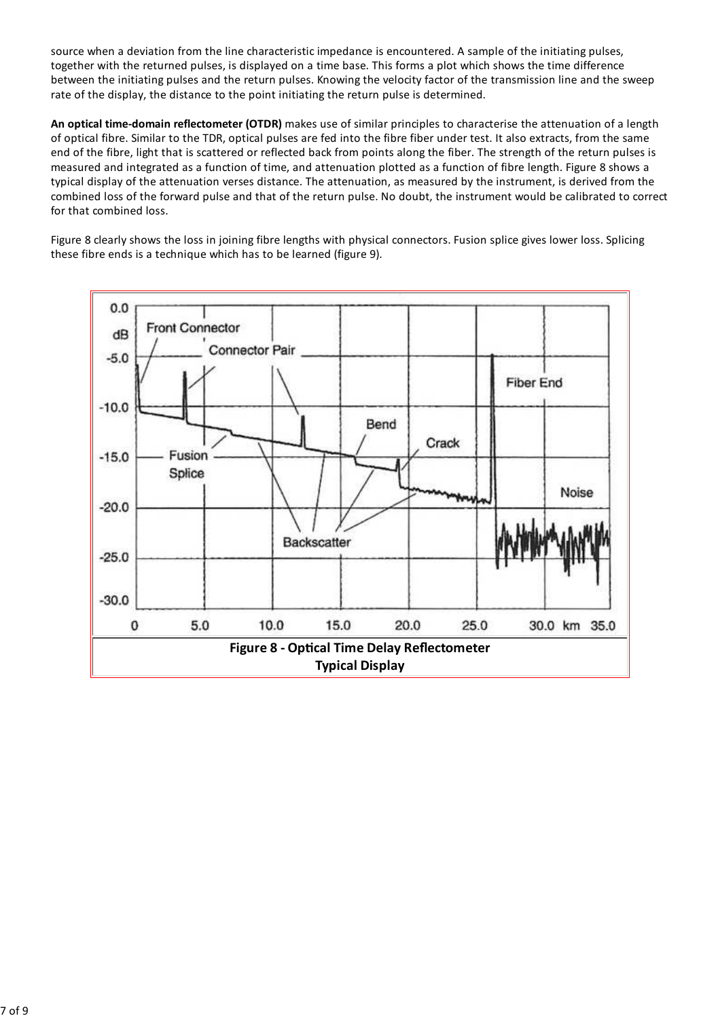source when a deviation from the line characteristic impedance is encountered. A sample of the initiating pulses, together with the returned pulses, is displayed on a time base. This forms a plot which shows the time difference between the initiating pulses and the return pulses. Knowing the velocity factor of the transmission line and the sweep rate of the display, the distance to the point initiating the return pulse is determined.

An optical time-domain reflectometer (OTDR) makes use of similar principles to characterise the attenuation of a length of optical fibre. Similar to the TDR, optical pulses are fed into the fibre fiber under test. It also extracts, from the same end of the fibre, light that is scattered or reflected back from points along the fiber. The strength of the return pulses is measured and integrated as a function of time, and attenuation plotted as a function of fibre length. Figure 8 shows a typical display of the attenuation verses distance. The attenuation, as measured by the instrument, is derived from the combined loss of the forward pulse and that of the return pulse. No doubt, the instrument would be calibrated to correct for that combined loss.

Figure 8 clearly shows the loss in joining fibre lengths with physical connectors. Fusion splice gives lower loss. Splicing these fibre ends is a technique which has to be learned (figure 9).

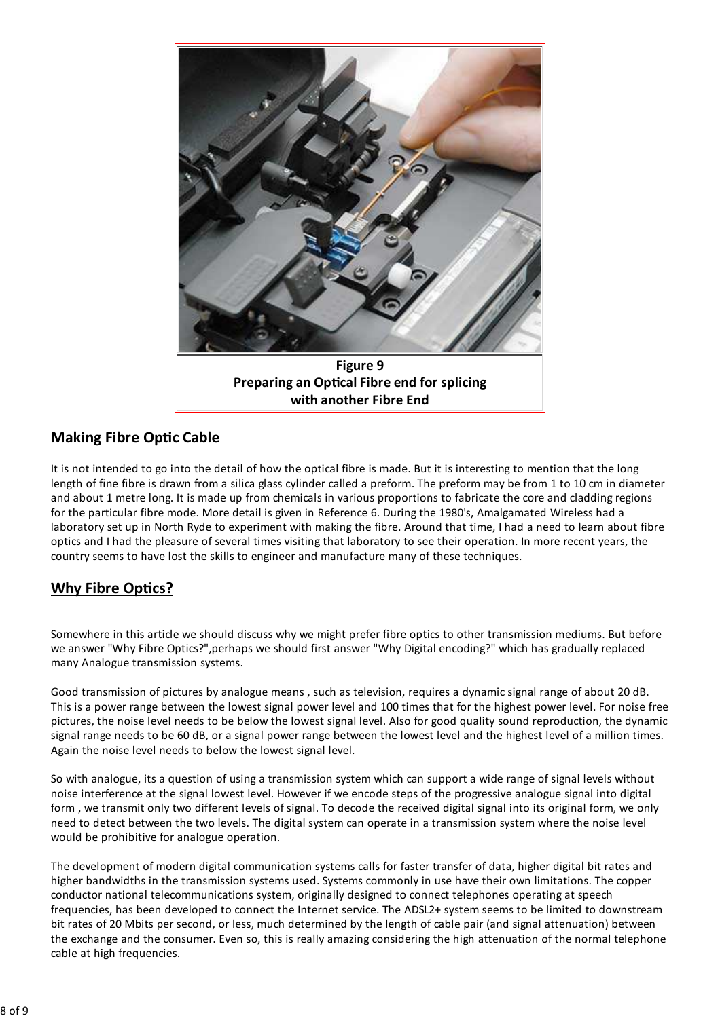

# **Making Fibre Optic Cable**

It is not intended to go into the detail of how the optical fibre is made. But it is interesting to mention that the long length of fine fibre is drawn from a silica glass cylinder called a preform. The preform may be from 1 to 10 cm in diameter and about 1 metre long. It is made up from chemicals in various proportions to fabricate the core and cladding regions for the particular fibre mode. More detail is given in Reference 6. During the 1980's, Amalgamated Wireless had a laboratory set up in North Ryde to experiment with making the fibre. Around that time, I had a need to learn about fibre optics and I had the pleasure of several times visiting that laboratory to see their operation. In more recent years, the country seems to have lost the skills to engineer and manufacture many of these techniques.

# **Why Fibre Optics?**

Somewhere in this article we should discuss why we might prefer fibre optics to other transmission mediums. But before we answer "Why Fibre Optics?", perhaps we should first answer "Why Digital encoding?" which has gradually replaced many Analogue transmission systems.

Good transmission of pictures by analogue means, such as television, requires a dynamic signal range of about 20 dB. This is a power range between the lowest signal power level and 100 times that for the highest power level. For noise free pictures, the noise level needs to be below the lowest signal level. Also for good quality sound reproduction, the dynamic signal range needs to be 60 dB, or a signal power range between the lowest level and the highest level of a million times. Again the noise level needs to below the lowest signal level.

So with analogue, its a question of using a transmission system which can support a wide range of signal levels without noise interference at the signal lowest level. However if we encode steps of the progressive analogue signal into digital form, we transmit only two different levels of signal. To decode the received digital signal into its original form, we only need to detect between the two levels. The digital system can operate in a transmission system where the noise level would be prohibitive for analogue operation.

The development of modern digital communication systems calls for faster transfer of data, higher digital bit rates and higher bandwidths in the transmission systems used. Systems commonly in use have their own limitations. The copper conductor national telecommunications system, originally designed to connect telephones operating at speech frequencies, has been developed to connect the Internet service. The ADSL2+ system seems to be limited to downstream bit rates of 20 Mbits per second, or less, much determined by the length of cable pair (and signal attenuation) between the exchange and the consumer. Even so, this is really amazing considering the high attenuation of the normal telephone cable at high frequencies.